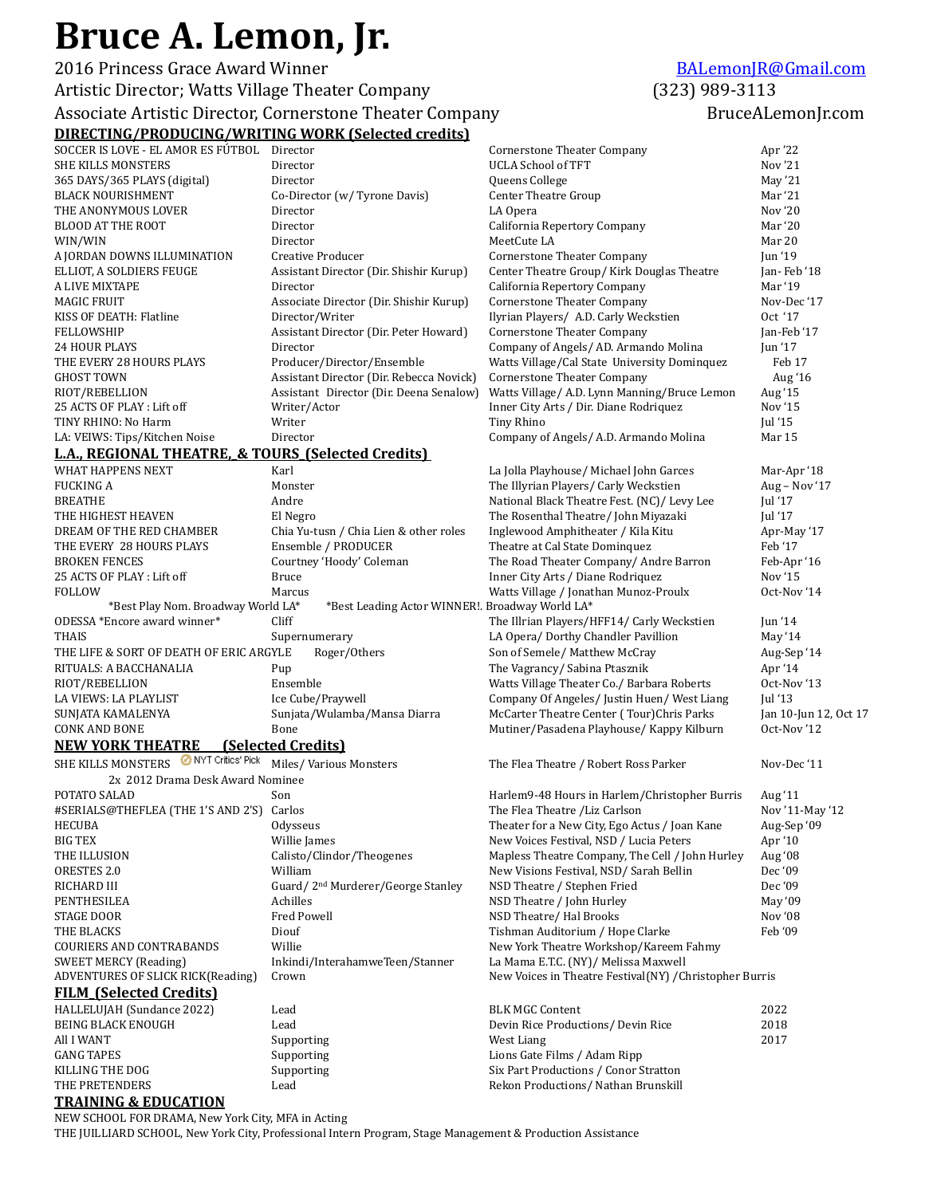## Bruce A. Lemon, Jr.

**2016** Princess Grace Award Winner *[BALemonJR@Gmail.com](mailto:BALemonJR@Gmail.com)* Artistic Director; Watts Village Theater Company (323) 989-3113 Associate Artistic Director, Cornerstone Theater Company **BruceALemonIng** BruceALemonIn.com

## **DIRECTING/PRODUCING/WRITING WORK (Selected credits)**

| SOCCER IS LOVE - EL AMOR ES FÚTBOL                 | Director                                        | Cornerstone Theater Company                             | Apr '22                             |
|----------------------------------------------------|-------------------------------------------------|---------------------------------------------------------|-------------------------------------|
| <b>SHE KILLS MONSTERS</b>                          | Director                                        | <b>UCLA School of TFT</b>                               | Nov '21                             |
| 365 DAYS/365 PLAYS (digital)                       | Director                                        | Queens College                                          | May $21$                            |
| <b>BLACK NOURISHMENT</b>                           | Co-Director (w/ Tyrone Davis)                   | <b>Center Theatre Group</b>                             | Mar '21                             |
| THE ANONYMOUS LOVER                                | Director                                        | LA Opera                                                | Nov '20                             |
| <b>BLOOD AT THE ROOT</b>                           | Director                                        | California Repertory Company                            | Mar '20                             |
| WIN/WIN                                            | Director                                        | MeetCute LA                                             | Mar 20                              |
| A JORDAN DOWNS ILLUMINATION                        | Creative Producer                               | <b>Cornerstone Theater Company</b>                      | Jun '19                             |
| ELLIOT, A SOLDIERS FEUGE                           | Assistant Director (Dir. Shishir Kurup)         | Center Theatre Group/Kirk Douglas Theatre               | Jan-Feb '18                         |
| A LIVE MIXTAPE                                     | Director                                        | California Repertory Company                            | Mar '19                             |
| MAGIC FRUIT                                        | Associate Director (Dir. Shishir Kurup)         | <b>Cornerstone Theater Company</b>                      | Nov-Dec '17                         |
| KISS OF DEATH: Flatline                            | Director/Writer                                 | Ilyrian Players/ A.D. Carly Weckstien                   | Oct '17                             |
| FELLOWSHIP                                         | Assistant Director (Dir. Peter Howard)          | <b>Cornerstone Theater Company</b>                      | Jan-Feb '17                         |
| 24 HOUR PLAYS                                      | Director                                        | Company of Angels/ AD. Armando Molina                   | Jun '17                             |
| THE EVERY 28 HOURS PLAYS                           | Producer/Director/Ensemble                      | Watts Village/Cal State University Dominquez            | Feb 17                              |
| GHOST TOWN                                         | Assistant Director (Dir. Rebecca Novick)        | <b>Cornerstone Theater Company</b>                      | Aug '16                             |
| RIOT/REBELLION                                     | Assistant Director (Dir. Deena Senalow)         | Watts Village/ A.D. Lynn Manning/Bruce Lemon            | Aug '15                             |
| 25 ACTS OF PLAY: Lift off                          | Writer/Actor                                    | Inner City Arts / Dir. Diane Rodriquez                  | Nov '15                             |
| TINY RHINO: No Harm                                | Writer                                          | <b>Tiny Rhino</b>                                       | Jul $'15$                           |
| LA: VEIWS: Tips/Kitchen Noise                      | Director                                        | Company of Angels/ A.D. Armando Molina                  | Mar 15                              |
| L.A., REGIONAL THEATRE, & TOURS (Selected Credits) |                                                 |                                                         |                                     |
| <b>WHAT HAPPENS NEXT</b>                           | Karl                                            | La Jolla Playhouse/ Michael John Garces                 | Mar-Apr '18                         |
| <b>FUCKING A</b>                                   | Monster                                         | The Illyrian Players/ Carly Weckstien                   | Aug - Nov '17                       |
| <b>BREATHE</b>                                     | Andre                                           | National Black Theatre Fest. (NC)/ Levy Lee             | Jul '17                             |
| THE HIGHEST HEAVEN                                 | El Negro                                        | The Rosenthal Theatre/ John Miyazaki                    | Jul '17                             |
| DREAM OF THE RED CHAMBER                           | Chia Yu-tusn / Chia Lien & other roles          | Inglewood Amphitheater / Kila Kitu                      | Apr-May '17                         |
| THE EVERY 28 HOURS PLAYS                           | Ensemble / PRODUCER                             | Theatre at Cal State Dominquez                          | Feb '17                             |
| <b>BROKEN FENCES</b>                               | Courtney 'Hoody' Coleman                        | The Road Theater Company/ Andre Barron                  | Feb-Apr '16                         |
| 25 ACTS OF PLAY : Lift off                         | <b>Bruce</b>                                    | Inner City Arts / Diane Rodriquez                       | Nov '15                             |
| FOLLOW                                             | Marcus                                          | Watts Village / Jonathan Munoz-Proulx                   | Oct-Nov '14                         |
| *Best Play Nom. Broadway World LA*                 | *Best Leading Actor WINNER!. Broadway World LA* |                                                         |                                     |
| ODESSA *Encore award winner*                       | Cliff                                           | The Illrian Players/HFF14/ Carly Weckstien              | Jun $'14$                           |
| <b>THAIS</b>                                       | Supernumerary                                   | LA Opera/ Dorthy Chandler Pavillion                     | May '14                             |
| THE LIFE & SORT OF DEATH OF ERIC ARGYLE            | Roger/Others                                    | Son of Semele/ Matthew McCray                           | Aug-Sep '14                         |
| RITUALS: A BACCHANALIA                             | Pup                                             | The Vagrancy/ Sabina Ptasznik                           | Apr '14                             |
| RIOT/REBELLION                                     | Ensemble                                        | Watts Village Theater Co./ Barbara Roberts              | Oct-Nov '13                         |
| LA VIEWS: LA PLAYLIST                              | Ice Cube/Praywell                               | Company Of Angeles/ Justin Huen/ West Liang             | Jul '13                             |
| SUNJATA KAMALENYA<br><b>CONK AND BONE</b>          | Sunjata/Wulamba/Mansa Diarra<br>Bone            | McCarter Theatre Center (Tour)Chris Parks               | Jan 10-Jun 12, Oct 17<br>Oct-Nov'12 |
|                                                    |                                                 | Mutiner/Pasadena Playhouse/ Kappy Kilburn               |                                     |
| <b>NEW YORK THEATRE</b><br>NYT Critics' Pick       | <b>(Selected Credits)</b>                       |                                                         |                                     |
| SHE KILLS MONSTERS                                 | Miles/Various Monsters                          | The Flea Theatre / Robert Ross Parker                   | Nov-Dec '11                         |
| 2x 2012 Drama Desk Award Nominee                   |                                                 |                                                         |                                     |
| POTATO SALAD                                       | Son                                             | Harlem9-48 Hours in Harlem/Christopher Burris           | Aug '11                             |
| #SERIALS@THEFLEA (THE 1'S AND 2'S) Carlos          |                                                 | The Flea Theatre /Liz Carlson                           | Nov '11-May '12                     |
| HECUBA                                             | Odysseus                                        | Theater for a New City, Ego Actus / Joan Kane           | Aug-Sep '09                         |
| <b>BIG TEX</b>                                     | Willie James                                    | New Voices Festival, NSD / Lucia Peters                 | Apr '10                             |
| THE ILLUSION                                       | Calisto/Clindor/Theogenes                       | Mapless Theatre Company, The Cell / John Hurley         | Aug '08                             |
| ORESTES 2.0                                        | William                                         | New Visions Festival, NSD/Sarah Bellin                  | Dec '09                             |
| RICHARD III                                        | Guard/2 <sup>nd</sup> Murderer/George Stanley   | NSD Theatre / Stephen Fried                             | Dec '09                             |
| PENTHESILEA                                        | Achilles                                        | NSD Theatre / John Hurley                               | May '09                             |
| STAGE DOOR                                         | <b>Fred Powell</b>                              | NSD Theatre/ Hal Brooks                                 | Nov '08                             |
| THE BLACKS                                         | Diouf                                           | Tishman Auditorium / Hope Clarke                        | Feb '09                             |
| COURIERS AND CONTRABANDS                           | Willie                                          | New York Theatre Workshop/Kareem Fahmy                  |                                     |
| <b>SWEET MERCY (Reading)</b>                       | Inkindi/InterahamweTeen/Stanner                 | La Mama E.T.C. (NY)/ Melissa Maxwell                    |                                     |
| ADVENTURES OF SLICK RICK(Reading)                  | Crown                                           | New Voices in Theatre Festival(NY) / Christopher Burris |                                     |
| <b>FILM (Selected Credits)</b>                     |                                                 |                                                         |                                     |
| HALLELUJAH (Sundance 2022)                         | Lead                                            | <b>BLK MGC Content</b>                                  | 2022                                |
| <b>BEING BLACK ENOUGH</b>                          | Lead                                            | Devin Rice Productions/ Devin Rice                      | 2018                                |
| All I WANT                                         | Supporting                                      | West Liang                                              | 2017                                |
| <b>GANG TAPES</b>                                  | Supporting                                      | Lions Gate Films / Adam Ripp                            |                                     |
| KILLING THE DOG                                    | Supporting                                      | Six Part Productions / Conor Stratton                   |                                     |
| THE PRETENDERS                                     | Lead                                            | Rekon Productions/ Nathan Brunskill                     |                                     |
| <b>TRAINING &amp; EDUCATION</b>                    |                                                 |                                                         |                                     |

NEW SCHOOL FOR DRAMA, New York City, MFA in Acting THE JUILLIARD SCHOOL, New York City, Professional Intern Program, Stage Management & Production Assistance